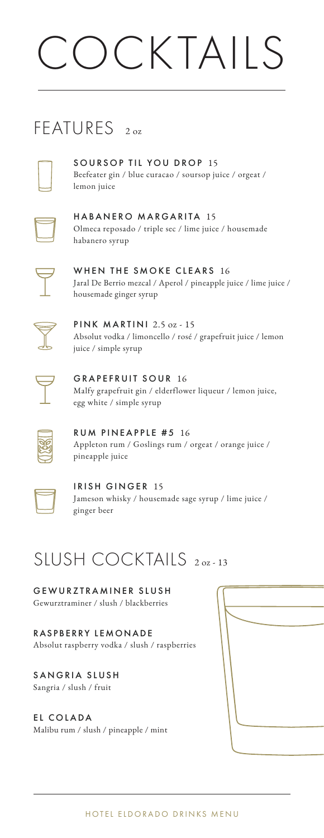# CKTAILS

### FEATURES<sub>20z</sub>



SOURSOP TIL YOU DROP 15 Beefeater gin / blue curacao / soursop juice / orgeat / lemon juice

|  | ۰. |
|--|----|
|  |    |
|  |    |
|  | ×, |

HABANERO MARGARITA 15 Olmeca reposado / triple sec / lime juice / housemade habanero syrup



WHEN THE SMOKE CLEARS 16 Jaral De Berrio mezcal / Aperol / pineapple juice / lime juice / housemade ginger syrup



PINK MARTINI 2.5 oz - 15 Absolut vodka / limoncello / rosé / grapefruit juice / lemon juice / simple syrup



GRAPEFRUIT SOUR 16 Malfy grapefruit gin / elderflower liqueur / lemon juice, egg white / simple syrup



RUM PINEAPPLE #5 16 Appleton rum / Goslings rum / orgeat / orange juice / pineapple juice



IRISH GINGER 15 Jameson whisky / housemade sage syrup / lime juice / ginger beer

## SIUSH COCKTAILS 2.02-13

GEWURZTRAMINER SLUSH Gewurztraminer / slush / blackberries

RASPBERRY LEMONADE Absolut raspberry vodka / slush / raspberries

SANGRIA SLUSH Sangria / slush / fruit

### EL COLADA

Malibu rum / slush / pineapple / mint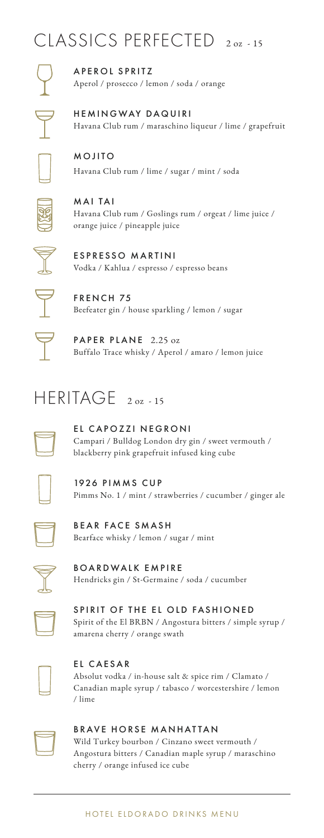## CLASSICS PERFECTED 2 oz - 15

A P E R O L S P R I T Z Aperol / prosecco / lemon / soda / orange

HEMINGWAY DAQUIRI Havana Club rum / maraschino liqueur / lime / grapefruit

MOJITO Havana Club rum / lime / sugar / mint / soda

MAI TAI Havana Club rum / Goslings rum / orgeat / lime juice / orange juice / pineapple juice



ESPRESSO MARTINI Vodka / Kahlua / espresso / espresso beans



FRENCH 75 Beefeater gin / house sparkling / lemon / sugar

PAPER PLANE 2.25 oz Buffalo Trace whisky / Aperol / amaro / lemon juice

## HERITAGE 2 oz - 15

EL CAPOZZI NEGRONI Campari / Bulldog London dry gin / sweet vermouth / blackberry pink grapefruit infused king cube



1926 PIMMS CUP Pimms No. 1 / mint / strawberries / cucumber / ginger ale



BEAR FACE SMASH Bearface whisky / lemon / sugar / mint



BOARDWALK EMPIRE Hendricks gin / St-Germaine / soda / cucumber



SPIRIT OF THE EL OLD FASHIONED Spirit of the El BRBN / Angostura bitters / simple syrup / amarena cherry / orange swath



EL CAESAR Absolut vodka / in-house salt & spice rim / Clamato / Canadian maple syrup / tabasco / worcestershire / lemon / lime



### BRAVE HORSE MANHATTAN

Wild Turkey bourbon / Cinzano sweet vermouth / Angostura bitters / Canadian maple syrup / maraschino cherry / orange infused ice cube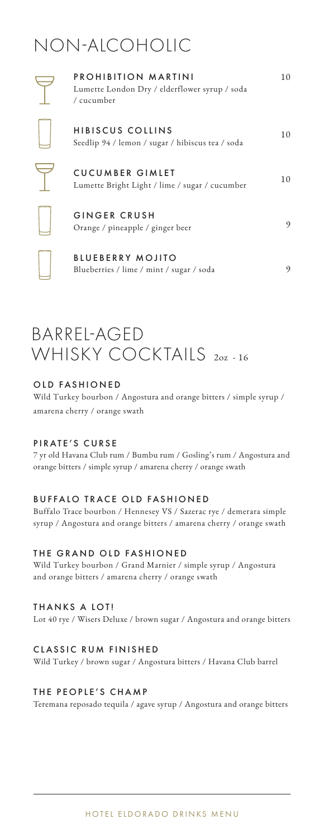## NON-ALCOHOLIC

| PROHIBITION MARTINI<br>Lumette London Dry / elderflower syrup / soda<br>/ cucumber | 10             |
|------------------------------------------------------------------------------------|----------------|
| <b>HIBISCUS COLLINS</b><br>Seedlip 94 / lemon / sugar / hibiscus tea / soda        | 10             |
| <b>CUCUMBER GIMLET</b><br>Lumette Bright Light / lime / sugar / cucumber           | 1 <sub>0</sub> |
| <b>GINGER CRUSH</b><br>Orange / pineapple / ginger beer                            | 9              |
| <b>BLUEBERRY MOJITO</b><br>Blueberries / lime / mint / sugar / soda                | 9              |

### BARREL-AGED WHISKY COCKTAILS 202-16

### OLD FASHIONED

Wild Turkey bourbon / Angostura and orange bitters / simple syrup / amarena cherry / orange swath

#### PIRATE'S CURSE

7 yr old Havana Club rum / Bumbu rum / Gosling's rum / Angostura and orange bitters / simple syrup / amarena cherry / orange swath

#### BUFFALO TRACE OLD FASHIONED

Buffalo Trace bourbon / Hennesey VS / Sazerac rye / demerara simple syrup / Angostura and orange bitters / amarena cherry / orange swath

#### THE GRAND OLD FASHIONED

Wild Turkey bourbon / Grand Marnier / simple syrup / Angostura and orange bitters / amarena cherry / orange swath

THANKS A LOT!

Lot 40 rye / Wisers Deluxe / brown sugar / Angostura and orange bitters

#### CLASSIC RUM FINISHED

Wild Turkey / brown sugar / Angostura bitters / Havana Club barrel

#### THE PEOPLE'S CHAMP

Teremana reposado tequila / agave syrup / Angostura and orange bitters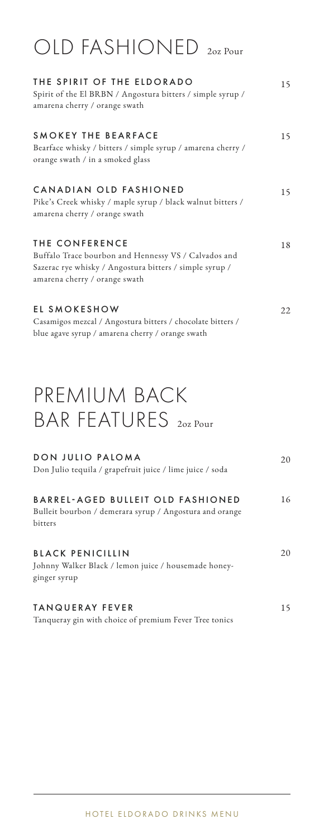## OLD FASHIONED 2oz Pour

| THE SPIRIT OF THE ELDORADO<br>Spirit of the El BRBN / Angostura bitters / simple syrup /<br>amarena cherry / orange swath                                          | 15  |
|--------------------------------------------------------------------------------------------------------------------------------------------------------------------|-----|
| SMOKEY THE BEARFACE<br>Bearface whisky / bitters / simple syrup / amarena cherry /<br>orange swath / in a smoked glass                                             | 15  |
| CANADIAN OLD FASHIONED<br>Pike's Creek whisky / maple syrup / black walnut bitters /<br>amarena cherry / orange swath                                              | 15  |
| THE CONFERENCE<br>Buffalo Trace bourbon and Hennessy VS / Calvados and<br>Sazerac rye whisky / Angostura bitters / simple syrup /<br>amarena cherry / orange swath | 18  |
| EL SMOKESHOW<br>Casamigos mezcal / Angostura bitters / chocolate bitters /<br>blue agave syrup / amarena cherry / orange swath                                     | 22. |

## PREMIUM BACK BAR FEATURES 202 Pour

| DON JULIO PALOMA<br>Don Julio tequila / grapefruit juice / lime juice / soda                                          | 20  |
|-----------------------------------------------------------------------------------------------------------------------|-----|
| <b>BARREL-AGED BULLEIT OLD FASHIONED</b><br>Bulleit bourbon / demerara syrup / Angostura and orange<br><b>bitters</b> | 16  |
| <b>BLACK PENICILLIN</b><br>Johnny Walker Black / lemon juice / housemade honey-<br>ginger syrup                       | 20  |
| <b>TANQUERAY FEVER</b>                                                                                                | 15. |

Tanqueray gin with choice of premium Fever Tree tonics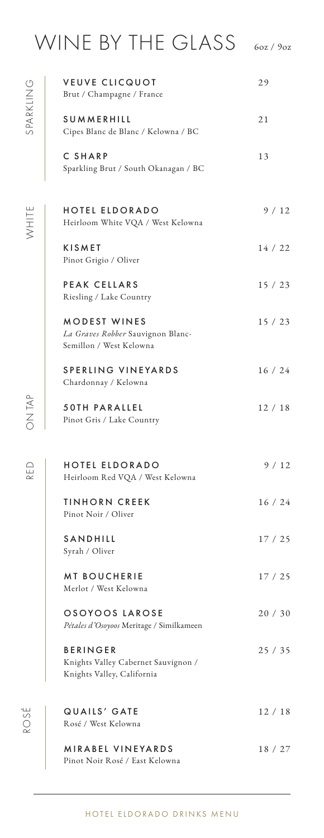## WINE BY THE GLASS 60Z/90Z

|                     | <b>VEUVE CLICQUOT</b><br>Brut / Champagne / France                                   | 29      |
|---------------------|--------------------------------------------------------------------------------------|---------|
| SPARKLING           | <b>SUMMERHILL</b><br>Cipes Blanc de Blanc / Kelowna / BC                             | 21      |
|                     | C SHARP<br>Sparkling Brut / South Okanagan / BC                                      | 13      |
| WHITE               | HOTEL ELDORADO<br>Heirloom White VQA / West Kelowna                                  | 9/12    |
|                     | <b>KISMET</b><br>Pinot Grigio / Oliver                                               | 14 / 22 |
|                     | <b>PEAK CELLARS</b><br>Riesling / Lake Country                                       | 15/23   |
|                     | <b>MODEST WINES</b><br>La Graves Robber Sauvignon Blanc-<br>Semillon / West Kelowna  | 15/23   |
|                     | SPERLING VINEYARDS<br>Chardonnay / Kelowna                                           | 16/24   |
| <b>ON TAP</b>       | 50TH PARALLEL<br>Pinot Gris / Lake Country                                           | 12/18   |
| RED                 | HOTEL ELDORADO<br>Heirloom Red VQA / West Kelowna                                    | 9/12    |
|                     | TINHORN CREEK<br>Pinot Noir / Oliver                                                 | 16 / 24 |
|                     | SANDHILL<br>Syrah / Oliver                                                           | 17/25   |
|                     | <b>MT BOUCHERIE</b><br>Merlot / West Kelowna                                         | 17/25   |
|                     | OSOYOOS LAROSE<br>Pétales d'Osoyoos Meritage / Similkameen                           | 20/30   |
|                     | <b>BERINGER</b><br>Knights Valley Cabernet Sauvignon /<br>Knights Valley, California | 25/35   |
| ⊔∿<br>$\frac{5}{2}$ | QUAILS' GATE<br>Rosé / West Kelowna                                                  | 12 / 18 |
|                     | <b>MIRABEL VINEYARDS</b><br>Pinot Noir Rosé / East Kelowna                           | 18 / 27 |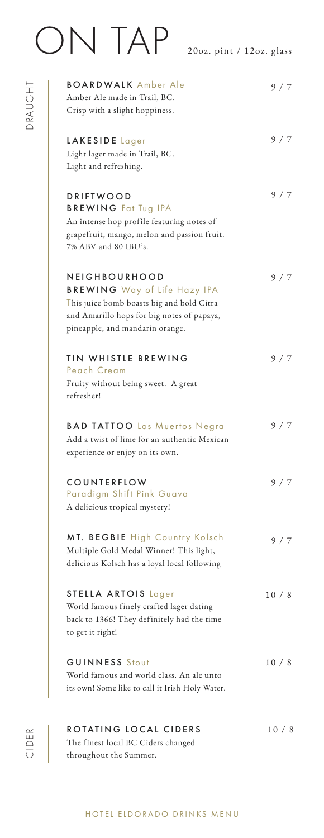# ON TAP 20oz. pint / 12oz. glass

DRAUGHT

DRAUGHT

| <b>BOARDWALK</b> Amber Ale<br>Amber Ale made in Trail, BC.                                                                                                                         | 9/7  |
|------------------------------------------------------------------------------------------------------------------------------------------------------------------------------------|------|
| Crisp with a slight hoppiness.                                                                                                                                                     |      |
| LAKESIDE Lager<br>Light lager made in Trail, BC.<br>Light and refreshing.                                                                                                          | 9/7  |
| <b>DRIFTWOOD</b><br><b>BREWING Fat Tug IPA</b><br>An intense hop profile featuring notes of<br>grapefruit, mango, melon and passion fruit.<br>7% ABV and 80 IBU's.                 | 9/7  |
| NEIGHBOURHOOD<br><b>BREWING</b> Way of Life Hazy IPA<br>This juice bomb boasts big and bold Citra<br>and Amarillo hops for big notes of papaya,<br>pineapple, and mandarin orange. | 9/7  |
| <b>TIN WHISTLE BREWING</b><br>Peach Cream<br>Fruity without being sweet. A great<br>refresher!                                                                                     | 9/7  |
| <b>BAD TATTOO</b> Los Muertos Negra<br>Add a twist of lime for an authentic Mexican<br>experience or enjoy on its own.                                                             | 9/7  |
| COUNTERFLOW<br>Paradigm Shift Pink Guava<br>A delicious tropical mystery!                                                                                                          | 9/7  |
| MT. BEGBIE High Country Kolsch<br>Multiple Gold Medal Winner! This light,<br>delicious Kolsch has a loyal local following                                                          | 9/7  |
| <b>STELLA ARTOIS Lager</b><br>World famous finely crafted lager dating<br>back to 1366! They definitely had the time<br>to get it right!                                           | 10/8 |
| <b>GUINNESS</b> Stout<br>World famous and world class. An ale unto<br>its own! Some like to call it Irish Holy Water.                                                              | 10/8 |
| ROTATING LOCAL CIDERS                                                                                                                                                              | 10/8 |

The finest local BC Ciders changed throughout the Summer.

CIDER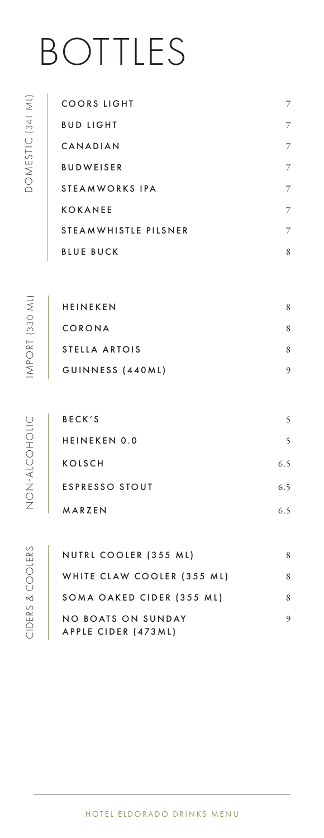# BOTTLES

| COORS LIGHT          | 7 |
|----------------------|---|
| BUD LIGHT            | 7 |
| CANADIAN             | 7 |
| BUDWEISER            | 7 |
| STEA M W ORKS IPA    | 7 |
| KOKANEE              | 7 |
| STEAMWHISTLE PILSNER | 7 |
| BLUE BUCK            | 8 |

| <b>HEINEKEN</b>  | 8 |
|------------------|---|
| CORONA           | 8 |
| STELLA ARTOIS    | 8 |
| GUINNESS (440ML) | 9 |
|                  |   |

| BECK'S                | 5   |
|-----------------------|-----|
| <b>HEINEKEN 0.0</b>   | 5   |
| <b>KOLSCH</b>         | 6.5 |
| <b>ESPRESSO STOUT</b> | 6.5 |
| MARZEN                | 6.5 |

CIDERS & COOLERS CIDERS & COOLERS

| NUTRL COOLER (355 ML)                     | 8 |
|-------------------------------------------|---|
| WHITE CLAW COOLER (355 ML)                | 8 |
| SOMA OAKED CIDER (355 ML)                 | 8 |
| NO BOATS ON SUNDAY<br>APPLE CIDER (473ML) | 9 |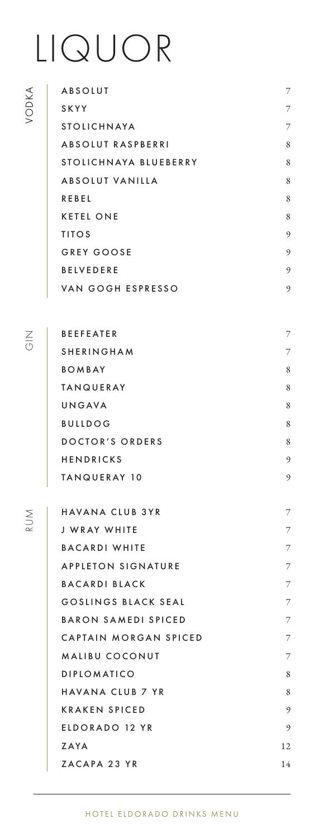## LIQUOR

VODKA

 $\overline{\leq}$ 

RUM

| ABSOLUT                   | 7 |
|---------------------------|---|
| SKYY                      | 7 |
| <b>STOLICHNAYA</b>        | 7 |
| <b>ABSOLUT RASPBERRI</b>  | 8 |
| STOLICHNAYA BLUEBERRY     | 8 |
| ABSOLUT VANILLA           | 8 |
| REBEL                     | 8 |
| <b>KETEL ONE</b>          | 8 |
| <b>TITOS</b>              | 9 |
| GREY GOOSE                | 9 |
| <b>BELVEDERE</b>          | 9 |
| VAN GOGH ESPRESSO         | 9 |
|                           |   |
| <b>BEEFEATER</b>          | 7 |
| <b>SHERINGHAM</b>         | 7 |
| <b>BOMBAY</b>             | 8 |
| <b>TANQUERAY</b>          | 8 |
| UNGAVA                    | 8 |
| <b>BULLDOG</b>            | 8 |
| DOCTOR'S ORDERS           | 8 |
| <b>HENDRICKS</b>          | 9 |
| TANQUERAY 10              | 9 |
|                           |   |
| HAVANA CLUB 3YR           | 7 |
| J WRAY WHITE              | 7 |
| <b>BACARDI WHITE</b>      | 7 |
| <b>APPLETON SIGNATURE</b> | 7 |

BACARDI WHITE 7 APPLETON SIGNATURE 7 BACARDI BLACK 7 GOSLINGS BLACK SEAL 7 BARON SAMEDI SPICED 7 CAPTAIN MORGAN SPICED 7 MALIBU COCONUT 7 DIPLOMATICO 8 HAVANA CLUB 7 YR 8 KRAKEN SPICED 9 ELDORADO 12 YR 9  $ZAYA$  12 ZACAPA 23 YR 14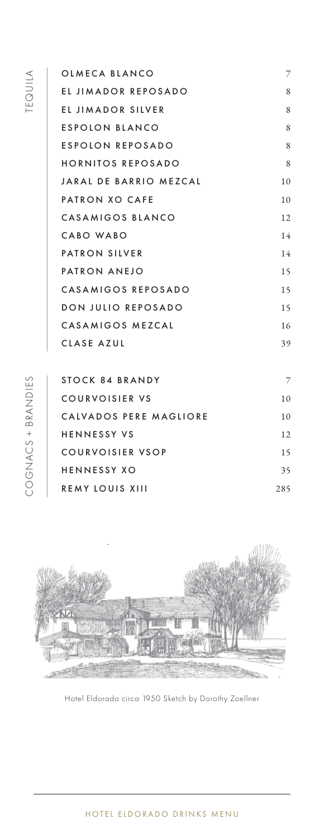| OLMECA BLANCO            | 7              |
|--------------------------|----------------|
| EL JIMADOR REPOSADO      | 8              |
| EL JIMADOR SILVER        | 8              |
| ESPOLON BLANCO           | 8              |
| ESPOLON REPOSADO         | 8              |
| <b>HORNITOS REPOSADO</b> | 8              |
| JARAL DE BARRIO MEZCAL   | 10             |
| PATRON XO CAFE           | 10             |
| CASAMIGOS BLANCO         | 12             |
| CABO WABO                | 14             |
| <b>PATRON SILVER</b>     | 14             |
| PATRON ANEJO             | 15             |
| CASAMIGOS REPOSADO       | 15             |
| DON JULIO REPOSADO       | 15             |
| CASAMIGOS MEZCAL         | 16             |
| CLASE AZUL               | 39             |
|                          |                |
| CTOCK CA BRANIDY         | $\overline{ }$ |

| STOCK 84 BRANDY        | 7   |
|------------------------|-----|
| COURVOISIER VS         | 10  |
| CALVADOS PERE MAGLIORE | 10  |
| <b>HENNESSY VS</b>     | 12  |
| COURVOISIER VSOP       | 15  |
| <b>HENNESSY XO</b>     | 35  |
| <b>REMY LOUIS XIII</b> | 285 |
|                        |     |



Hotel Eldorado circa 1950 Sketch by Dorothy Zoellner